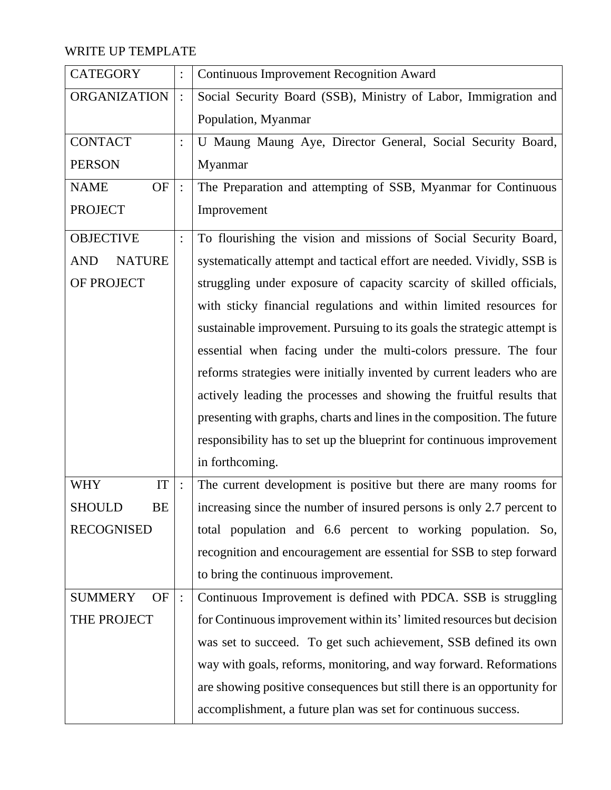# WRITE UP TEMPLATE

| <b>CATEGORY</b>             |                | <b>Continuous Improvement Recognition Award</b>                         |
|-----------------------------|----------------|-------------------------------------------------------------------------|
| <b>ORGANIZATION</b>         |                | Social Security Board (SSB), Ministry of Labor, Immigration and         |
|                             |                | Population, Myanmar                                                     |
| <b>CONTACT</b>              |                | U Maung Maung Aye, Director General, Social Security Board,             |
| <b>PERSON</b>               |                | Myanmar                                                                 |
| <b>NAME</b><br>OF           | $\ddot{\cdot}$ | The Preparation and attempting of SSB, Myanmar for Continuous           |
| <b>PROJECT</b>              |                | Improvement                                                             |
| <b>OBJECTIVE</b>            |                | To flourishing the vision and missions of Social Security Board,        |
| <b>NATURE</b><br><b>AND</b> |                | systematically attempt and tactical effort are needed. Vividly, SSB is  |
| OF PROJECT                  |                | struggling under exposure of capacity scarcity of skilled officials,    |
|                             |                | with sticky financial regulations and within limited resources for      |
|                             |                | sustainable improvement. Pursuing to its goals the strategic attempt is |
|                             |                | essential when facing under the multi-colors pressure. The four         |
|                             |                | reforms strategies were initially invented by current leaders who are   |
|                             |                | actively leading the processes and showing the fruitful results that    |
|                             |                | presenting with graphs, charts and lines in the composition. The future |
|                             |                | responsibility has to set up the blueprint for continuous improvement   |
|                             |                | in forthcoming.                                                         |
| <b>WHY</b><br>IT            | $\ddot{\cdot}$ | The current development is positive but there are many rooms for        |
| ВE<br><b>SHOULD</b>         |                | increasing since the number of insured persons is only 2.7 percent to   |
| <b>RECOGNISED</b>           |                | total population and 6.6 percent to working population. So,             |
|                             |                | recognition and encouragement are essential for SSB to step forward     |
|                             |                | to bring the continuous improvement.                                    |
| <b>OF</b><br><b>SUMMERY</b> | $\ddot{\cdot}$ | Continuous Improvement is defined with PDCA. SSB is struggling          |
| THE PROJECT                 |                | for Continuous improvement within its' limited resources but decision   |
|                             |                | was set to succeed. To get such achievement, SSB defined its own        |
|                             |                | way with goals, reforms, monitoring, and way forward. Reformations      |
|                             |                | are showing positive consequences but still there is an opportunity for |
|                             |                | accomplishment, a future plan was set for continuous success.           |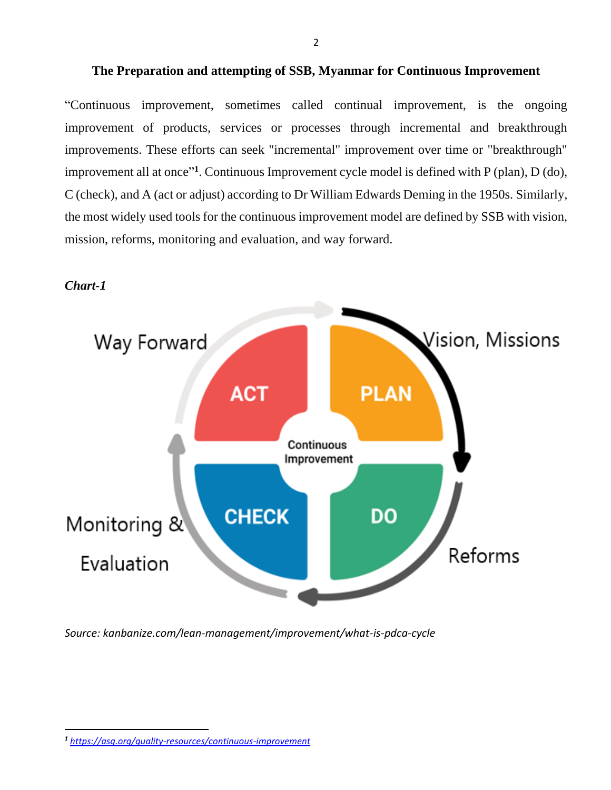# **The Preparation and attempting of SSB, Myanmar for Continuous Improvement**

"Continuous improvement, sometimes called continual improvement, is the ongoing improvement of products, services or processes through incremental and breakthrough improvements. These efforts can seek "incremental" improvement over time or "breakthrough" improvement all at once"<sup>1</sup>. Continuous Improvement cycle model is defined with P (plan), D (do), C (check), and A (act or adjust) according to Dr William Edwards Deming in the 1950s. Similarly, the most widely used tools for the continuous improvement model are defined by SSB with vision, mission, reforms, monitoring and evaluation, and way forward.



*Chart-1*

*Source: [kanbanize.com/lean-management/improvement/what-is-pdca-cycle](https://kanbanize.com/lean-management/improvement/what-is-pdca-cycle)*

*<sup>1</sup> <https://asq.org/quality-resources/continuous-improvement>*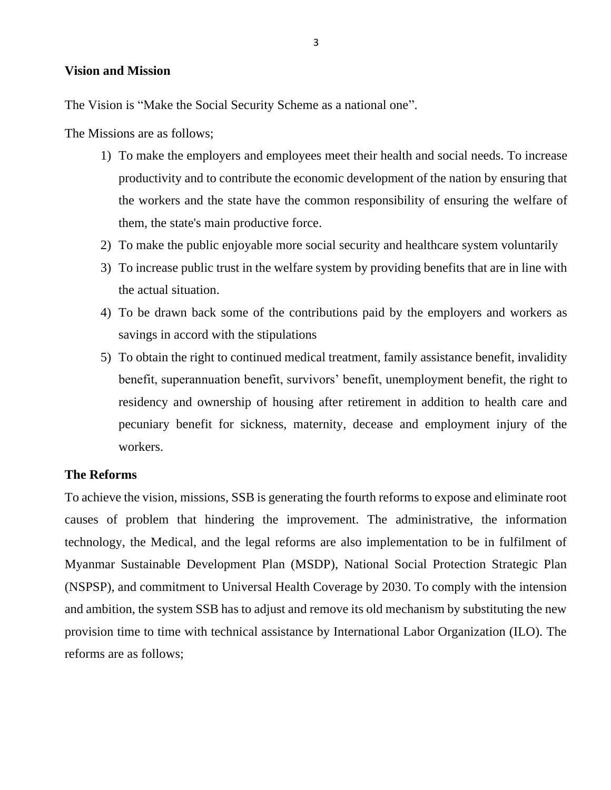## **Vision and Mission**

The Vision is "Make the Social Security Scheme as a national one".

The Missions are as follows;

- 1) To make the employers and employees meet their health and social needs. To increase productivity and to contribute the economic development of the nation by ensuring that the workers and the state have the common responsibility of ensuring the welfare of them, the state's main productive force.
- 2) To make the public enjoyable more social security and healthcare system voluntarily
- 3) To increase public trust in the welfare system by providing benefits that are in line with the actual situation.
- 4) To be drawn back some of the contributions paid by the employers and workers as savings in accord with the stipulations
- 5) To obtain the right to continued medical treatment, family assistance benefit, invalidity benefit, superannuation benefit, survivors' benefit, unemployment benefit, the right to residency and ownership of housing after retirement in addition to health care and pecuniary benefit for sickness, maternity, decease and employment injury of the workers.

# **The Reforms**

To achieve the vision, missions, SSB is generating the fourth reforms to expose and eliminate root causes of problem that hindering the improvement. The administrative, the information technology, the Medical, and the legal reforms are also implementation to be in fulfilment of Myanmar Sustainable Development Plan (MSDP), National Social Protection Strategic Plan (NSPSP), and commitment to Universal Health Coverage by 2030. To comply with the intension and ambition, the system SSB has to adjust and remove its old mechanism by substituting the new provision time to time with technical assistance by International Labor Organization (ILO). The reforms are as follows;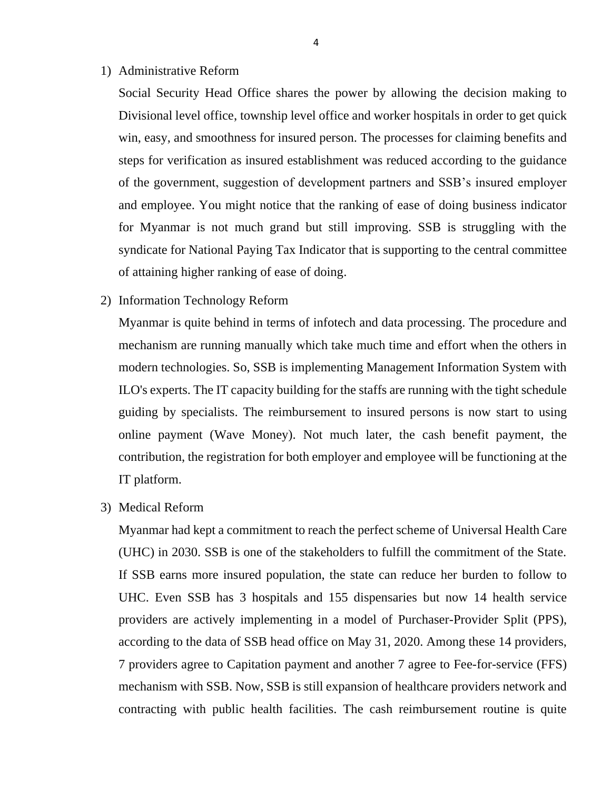#### 1) Administrative Reform

Social Security Head Office shares the power by allowing the decision making to Divisional level office, township level office and worker hospitals in order to get quick win, easy, and smoothness for insured person. The processes for claiming benefits and steps for verification as insured establishment was reduced according to the guidance of the government, suggestion of development partners and SSB's insured employer and employee. You might notice that the ranking of ease of doing business indicator for Myanmar is not much grand but still improving. SSB is struggling with the syndicate for National Paying Tax Indicator that is supporting to the central committee of attaining higher ranking of ease of doing.

#### 2) Information Technology Reform

Myanmar is quite behind in terms of infotech and data processing. The procedure and mechanism are running manually which take much time and effort when the others in modern technologies. So, SSB is implementing Management Information System with ILO's experts. The IT capacity building for the staffs are running with the tight schedule guiding by specialists. The reimbursement to insured persons is now start to using online payment (Wave Money). Not much later, the cash benefit payment, the contribution, the registration for both employer and employee will be functioning at the IT platform.

## 3) Medical Reform

Myanmar had kept a commitment to reach the perfect scheme of Universal Health Care (UHC) in 2030. SSB is one of the stakeholders to fulfill the commitment of the State. If SSB earns more insured population, the state can reduce her burden to follow to UHC. Even SSB has 3 hospitals and 155 dispensaries but now 14 health service providers are actively implementing in a model of Purchaser-Provider Split (PPS), according to the data of SSB head office on May 31, 2020. Among these 14 providers, 7 providers agree to Capitation payment and another 7 agree to Fee-for-service (FFS) mechanism with SSB. Now, SSB is still expansion of healthcare providers network and contracting with public health facilities. The cash reimbursement routine is quite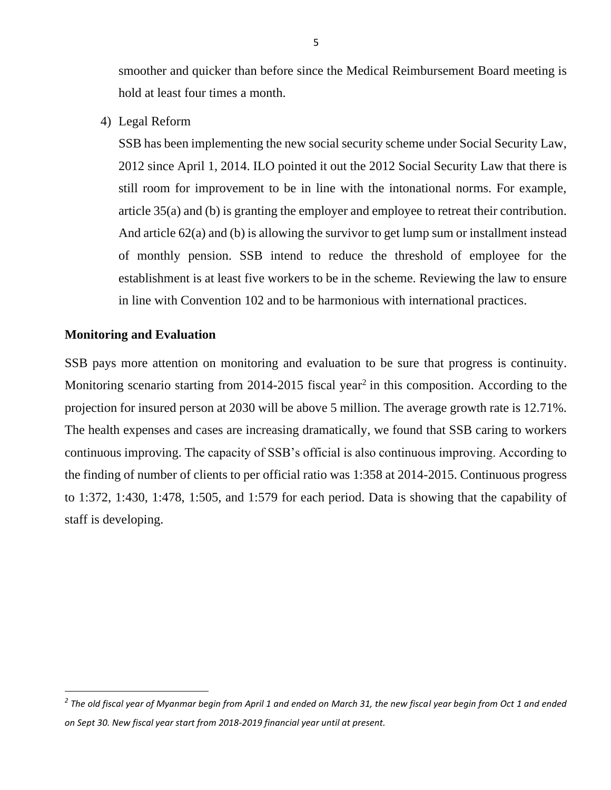smoother and quicker than before since the Medical Reimbursement Board meeting is hold at least four times a month.

4) Legal Reform

SSB has been implementing the new social security scheme under Social Security Law, 2012 since April 1, 2014. ILO pointed it out the 2012 Social Security Law that there is still room for improvement to be in line with the intonational norms. For example, article 35(a) and (b) is granting the employer and employee to retreat their contribution. And article 62(a) and (b) is allowing the survivor to get lump sum or installment instead of monthly pension. SSB intend to reduce the threshold of employee for the establishment is at least five workers to be in the scheme. Reviewing the law to ensure in line with Convention 102 and to be harmonious with international practices.

## **Monitoring and Evaluation**

SSB pays more attention on monitoring and evaluation to be sure that progress is continuity. Monitoring scenario starting from 2014-2015 fiscal year<sup>2</sup> in this composition. According to the projection for insured person at 2030 will be above 5 million. The average growth rate is 12.71%. The health expenses and cases are increasing dramatically, we found that SSB caring to workers continuous improving. The capacity of SSB's official is also continuous improving. According to the finding of number of clients to per official ratio was 1:358 at 2014-2015. Continuous progress to 1:372, 1:430, 1:478, 1:505, and 1:579 for each period. Data is showing that the capability of staff is developing.

*<sup>2</sup> The old fiscal year of Myanmar begin from April 1 and ended on March 31, the new fiscal year begin from Oct 1 and ended on Sept 30. New fiscal year start from 2018-2019 financial year until at present.*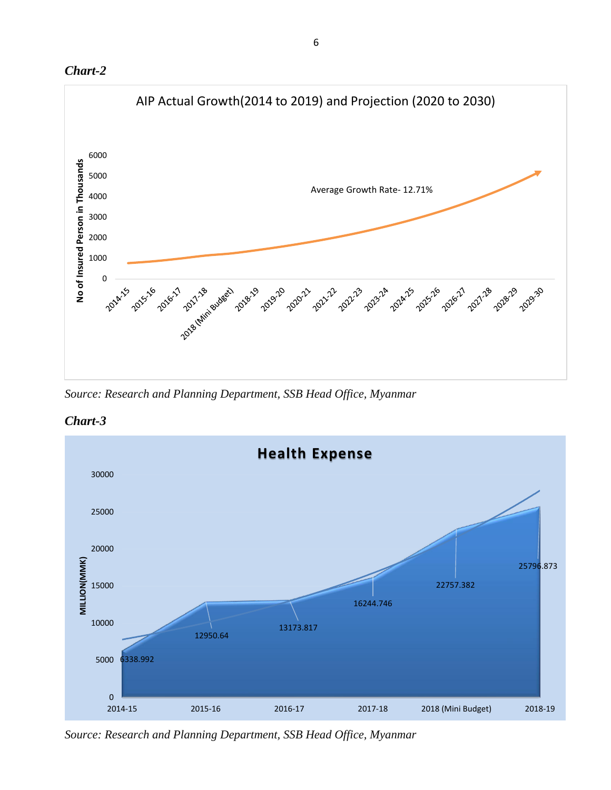



*Source: Research and Planning Department, SSB Head Office, Myanmar*





*Source: Research and Planning Department, SSB Head Office, Myanmar*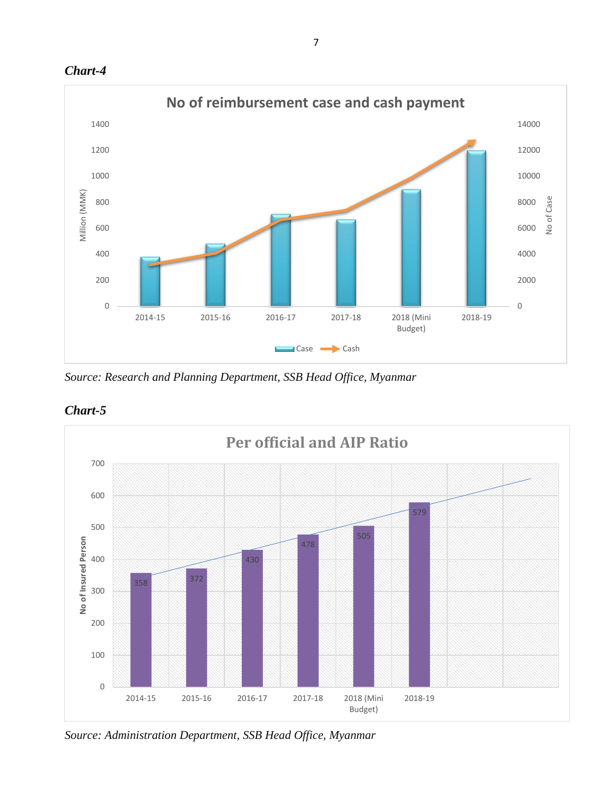



*Source: Research and Planning Department, SSB Head Office, Myanmar*





*Source: Administration Department, SSB Head Office, Myanmar*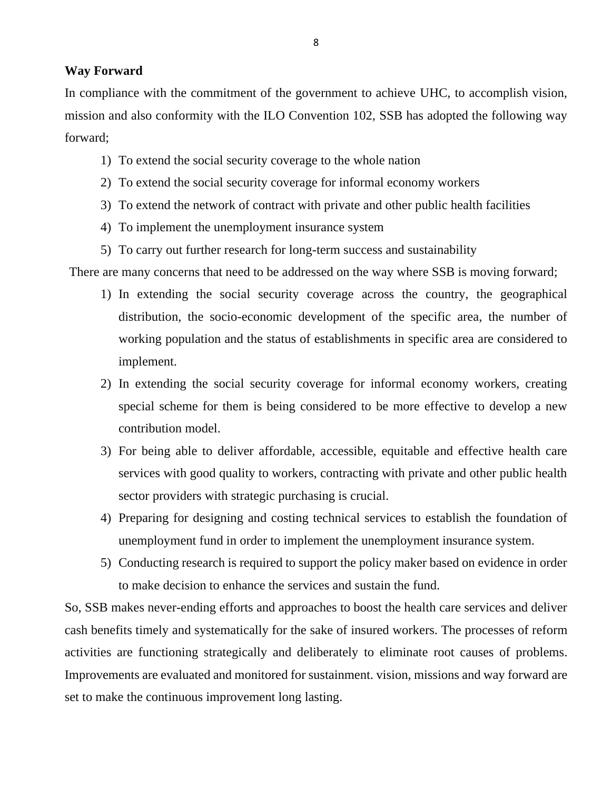# **Way Forward**

In compliance with the commitment of the government to achieve UHC, to accomplish vision, mission and also conformity with the ILO Convention 102, SSB has adopted the following way forward;

- 1) To extend the social security coverage to the whole nation
- 2) To extend the social security coverage for informal economy workers
- 3) To extend the network of contract with private and other public health facilities
- 4) To implement the unemployment insurance system
- 5) To carry out further research for long-term success and sustainability

There are many concerns that need to be addressed on the way where SSB is moving forward;

- 1) In extending the social security coverage across the country, the geographical distribution, the socio-economic development of the specific area, the number of working population and the status of establishments in specific area are considered to implement.
- 2) In extending the social security coverage for informal economy workers, creating special scheme for them is being considered to be more effective to develop a new contribution model.
- 3) For being able to deliver affordable, accessible, equitable and effective health care services with good quality to workers, contracting with private and other public health sector providers with strategic purchasing is crucial.
- 4) Preparing for designing and costing technical services to establish the foundation of unemployment fund in order to implement the unemployment insurance system.
- 5) Conducting research is required to support the policy maker based on evidence in order to make decision to enhance the services and sustain the fund.

So, SSB makes never-ending efforts and approaches to boost the health care services and deliver cash benefits timely and systematically for the sake of insured workers. The processes of reform activities are functioning strategically and deliberately to eliminate root causes of problems. Improvements are evaluated and monitored for sustainment. vision, missions and way forward are set to make the continuous improvement long lasting.